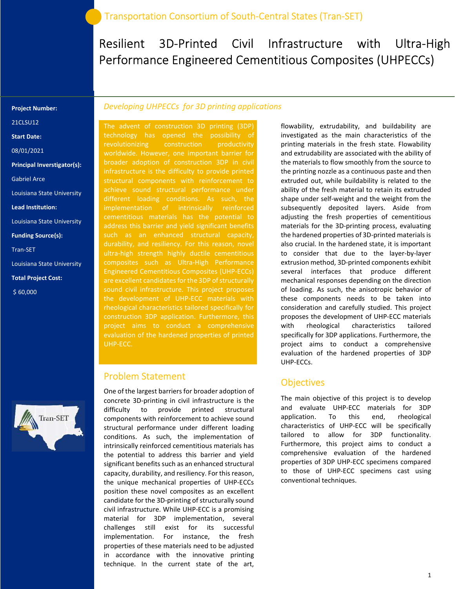# Resilient 3D-Printed Civil Infrastructure with Ultra-High Performance Engineered Cementitious Composites (UHPECCs)

#### Project Number:

21CLSU12

Start Date:

08/01/2021

Principal Inverstigator(s):

Gabriel Arce

Louisiana State University

Lead Institution:

Louisiana State University

Funding Source(s):

Tran-SET

Louisiana State University

Total Project Cost:

\$ 60,000

#### Developing UHPECCs for 3D printing applications

The advent of construction 3D printing (3DP) technology has opened the possibility of revolutionizing construction productivity worldwide. However, one important barrier for broader adoption of construction 3DP in civil achieve sound structural performance under different loading conditions. As such, the implementation of intrinsically reinforced address this barrier and yield significant benefits such as an enhanced structural capacity, ultra-high strength highly ductile cementitious composites such as Ultra-High Performance Engineered Cementitious Composites (UHP-ECCs) are excellent candidates for the 3DP of structurally sound civil infrastructure. This project proposes the development of UHP-ECC materials with rheological characteristics tailored specifically for construction 3DP application. Furthermore, this project aims to conduct a comprehensive evaluation of the hardened properties of printed UHP-ECC.

#### Problem Statement

One of the largest barriers for broader adoption of concrete 3D-printing in civil infrastructure is the difficulty to provide printed structural components with reinforcement to achieve sound structural performance under different loading conditions. As such, the implementation of intrinsically reinforced cementitious materials has the potential to address this barrier and yield significant benefits such as an enhanced structural capacity, durability, and resiliency. For this reason, the unique mechanical properties of UHP-ECCs position these novel composites as an excellent candidate for the 3D-printing of structurally sound civil infrastructure. While UHP-ECC is a promising material for 3DP implementation, several challenges still exist for its successful implementation. For instance, the fresh properties of these materials need to be adjusted in accordance with the innovative printing technique. In the current state of the art,

flowability, extrudability, and buildability are investigated as the main characteristics of the printing materials in the fresh state. Flowability and extrudability are associated with the ability of the materials to flow smoothly from the source to the printing nozzle as a continuous paste and then extruded out, while buildability is related to the ability of the fresh material to retain its extruded shape under self-weight and the weight from the subsequently deposited layers. Aside from adjusting the fresh properties of cementitious materials for the 3D-printing process, evaluating the hardened properties of 3D-printed materials is also crucial. In the hardened state, it is important to consider that due to the layer-by-layer extrusion method, 3D-printed components exhibit several interfaces that produce different mechanical responses depending on the direction of loading. As such, the anisotropic behavior of these components needs to be taken into consideration and carefully studied. This project proposes the development of UHP-ECC materials with rheological characteristics tailored specifically for 3DP applications. Furthermore, the project aims to conduct a comprehensive evaluation of the hardened properties of 3DP UHP-ECCs.

### **Objectives**

The main objective of this project is to develop and evaluate UHP-ECC materials for 3DP application. To this end, rheological characteristics of UHP-ECC will be specifically tailored to allow for 3DP functionality. Furthermore, this project aims to conduct a comprehensive evaluation of the hardened properties of 3DP UHP-ECC specimens compared to those of UHP-ECC specimens cast using conventional techniques.